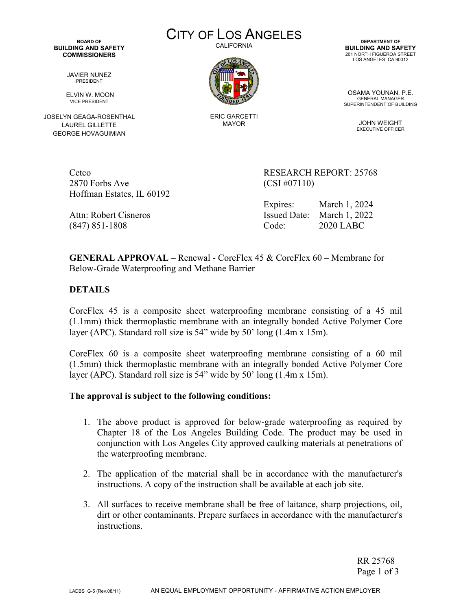**BOARD OF BUILDING AND SAFETY COMMISSIONERS** 

JAVIER NUNEZ PRESIDENT

 ELVIN W. MOON VICE PRESIDENT

JOSELYN GEAGA-ROSENTHAL LAUREL GILLETTE GEORGE HOVAGUIMIAN

CITY OF LOS ANGELES CALIFORNIA



ERIC GARCETTI MAYOR

**DEPARTMENT OF BUILDING AND SAFETY** 201 NORTH FIGUEROA STREET LOS ANGELES, CA 90012

OSAMA YOUNAN, P.E. GENERAL MANAGER SUPERINTENDENT OF BUILDING

> JOHN WEIGHT EXECUTIVE OFFICER

2870 Forbs Ave (CSI #07110) Hoffman Estates, IL 60192

Cetco RESEARCH REPORT: 25768

 Expires: March 1, 2024 Attn: Robert Cisneros Issued Date: March 1, 2022 (847) 851-1808 Code: 2020 LABC

**GENERAL APPROVAL** – Renewal - CoreFlex 45 & CoreFlex 60 – Membrane for Below-Grade Waterproofing and Methane Barrier

**DETAILS**

CoreFlex 45 is a composite sheet waterproofing membrane consisting of a 45 mil (1.1mm) thick thermoplastic membrane with an integrally bonded Active Polymer Core layer (APC). Standard roll size is 54" wide by 50' long (1.4m x 15m).

CoreFlex 60 is a composite sheet waterproofing membrane consisting of a 60 mil (1.5mm) thick thermoplastic membrane with an integrally bonded Active Polymer Core layer (APC). Standard roll size is 54" wide by 50' long (1.4m x 15m).

## **The approval is subject to the following conditions:**

- 1. The above product is approved for below-grade waterproofing as required by Chapter 18 of the Los Angeles Building Code. The product may be used in conjunction with Los Angeles City approved caulking materials at penetrations of the waterproofing membrane.
- 2. The application of the material shall be in accordance with the manufacturer's instructions. A copy of the instruction shall be available at each job site.
- 3. All surfaces to receive membrane shall be free of laitance, sharp projections, oil, dirt or other contaminants. Prepare surfaces in accordance with the manufacturer's instructions.

RR 25768 Page 1 of 3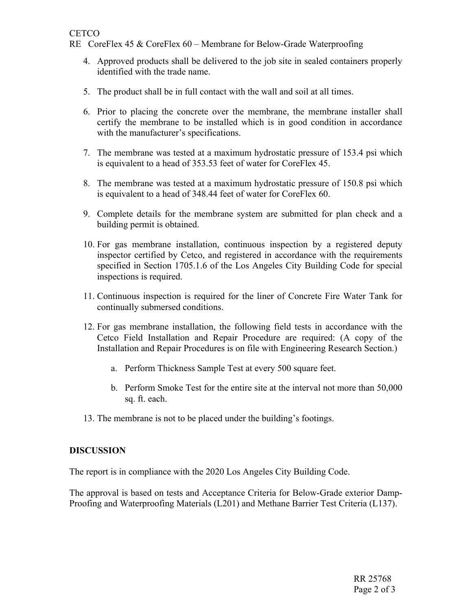RE CoreFlex 45 & CoreFlex 60 – Membrane for Below-Grade Waterproofing

- 4. Approved products shall be delivered to the job site in sealed containers properly identified with the trade name.
- 5. The product shall be in full contact with the wall and soil at all times.
- 6. Prior to placing the concrete over the membrane, the membrane installer shall certify the membrane to be installed which is in good condition in accordance with the manufacturer's specifications.
- 7. The membrane was tested at a maximum hydrostatic pressure of 153.4 psi which is equivalent to a head of 353.53 feet of water for CoreFlex 45.
- 8. The membrane was tested at a maximum hydrostatic pressure of 150.8 psi which is equivalent to a head of 348.44 feet of water for CoreFlex 60.
- 9. Complete details for the membrane system are submitted for plan check and a building permit is obtained.
- 10. For gas membrane installation, continuous inspection by a registered deputy inspector certified by Cetco, and registered in accordance with the requirements specified in Section 1705.1.6 of the Los Angeles City Building Code for special inspections is required.
- 11. Continuous inspection is required for the liner of Concrete Fire Water Tank for continually submersed conditions.
- 12. For gas membrane installation, the following field tests in accordance with the Cetco Field Installation and Repair Procedure are required: (A copy of the Installation and Repair Procedures is on file with Engineering Research Section.)
	- a. Perform Thickness Sample Test at every 500 square feet.
	- b. Perform Smoke Test for the entire site at the interval not more than 50,000 sq. ft. each.
- 13. The membrane is not to be placed under the building's footings.

## **DISCUSSION**

The report is in compliance with the 2020 Los Angeles City Building Code.

The approval is based on tests and Acceptance Criteria for Below-Grade exterior Damp-Proofing and Waterproofing Materials (L201) and Methane Barrier Test Criteria (L137).